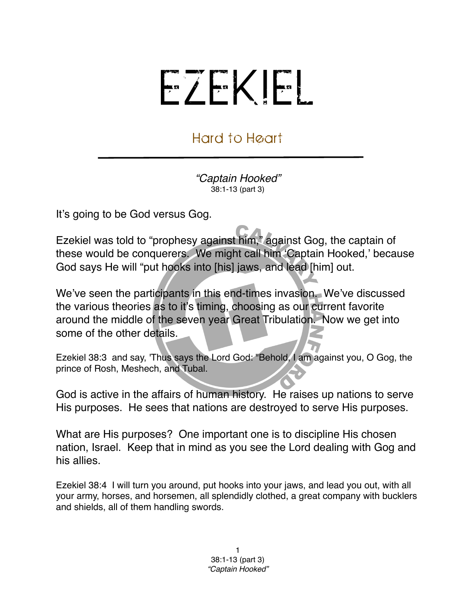## EZEKIEL

## Hard to Heart

*"Captain Hooked"* 38:1-13 (part 3)

It's going to be God versus Gog.

Ezekiel was told to "prophesy against him," against Gog, the captain of these would be conquerers. We might call him ʻCaptain Hooked,' because God says He will "put hooks into [his] jaws, and lead [him] out.

We've seen the participants in this end-times invasion. We've discussed the various theories as to it's timing, choosing as our current favorite around the middle of the seven year Great Tribulation. Now we get into some of the other details.

Ezekiel 38:3 and say, 'Thus says the Lord God: "Behold, I am against you, O Gog, the prince of Rosh, Meshech, and Tubal.

God is active in the affairs of human history. He raises up nations to serve His purposes. He sees that nations are destroyed to serve His purposes.

What are His purposes? One important one is to discipline His chosen nation, Israel. Keep that in mind as you see the Lord dealing with Gog and his allies.

Ezekiel 38:4 I will turn you around, put hooks into your jaws, and lead you out, with all your army, horses, and horsemen, all splendidly clothed, a great company with bucklers and shields, all of them handling swords.

> 1 38:1-13 (part 3) *"Captain Hooked"*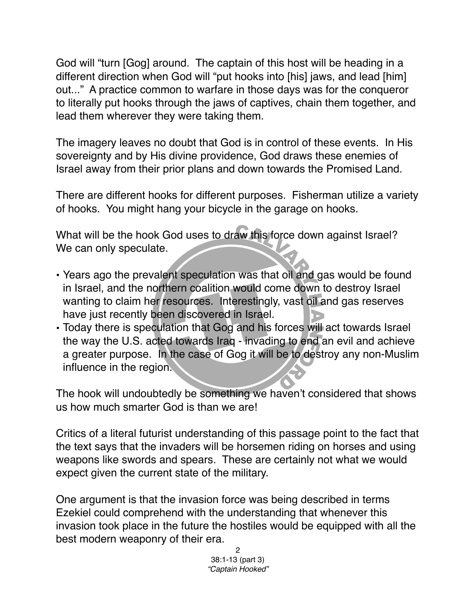God will "turn [Gog] around. The captain of this host will be heading in a different direction when God will "put hooks into [his] jaws, and lead [him] out..." A practice common to warfare in those days was for the conqueror to literally put hooks through the jaws of captives, chain them together, and lead them wherever they were taking them.

The imagery leaves no doubt that God is in control of these events. In His sovereignty and by His divine providence, God draws these enemies of Israel away from their prior plans and down towards the Promised Land.

There are different hooks for different purposes. Fisherman utilize a variety of hooks. You might hang your bicycle in the garage on hooks.

What will be the hook God uses to draw this force down against Israel? We can only speculate.

- Years ago the prevalent speculation was that oil and gas would be found in Israel, and the northern coalition would come down to destroy Israel wanting to claim her resources. Interestingly, vast oil and gas reserves have just recently been discovered in Israel.
- Today there is speculation that Gog and his forces will act towards Israel the way the U.S. acted towards Iraq - invading to end an evil and achieve a greater purpose. In the case of Gog it will be to destroy any non-Muslim influence in the region.

The hook will undoubtedly be something we haven't considered that shows us how much smarter God is than we are!

Critics of a literal futurist understanding of this passage point to the fact that the text says that the invaders will be horsemen riding on horses and using weapons like swords and spears. These are certainly not what we would expect given the current state of the military.

One argument is that the invasion force was being described in terms Ezekiel could comprehend with the understanding that whenever this invasion took place in the future the hostiles would be equipped with all the best modern weaponry of their era.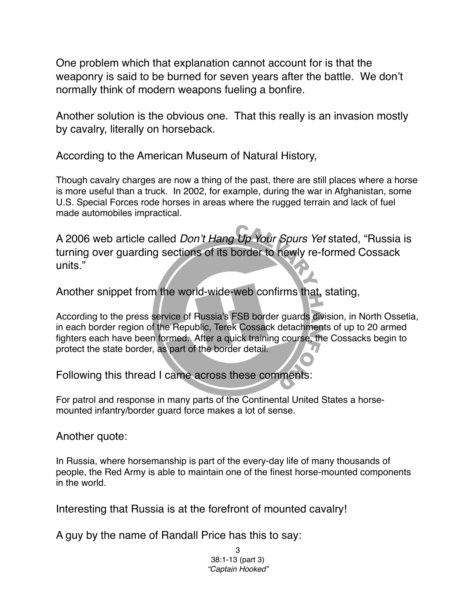One problem which that explanation cannot account for is that the weaponry is said to be burned for seven years after the battle. We don't normally think of modern weapons fueling a bonfire.

Another solution is the obvious one. That this really is an invasion mostly by cavalry, literally on horseback.

According to the American Museum of Natural History,

Though cavalry charges are now a thing of the past, there are still places where a horse is more useful than a truck. In 2002, for example, during the war in Afghanistan, some U.S. Special Forces rode horses in areas where the rugged terrain and lack of fuel made automobiles impractical.

A 2006 web article called *Don*'*t Hang Up Your Spurs Yet* stated, "Russia is turning over guarding sections of its border to newly re-formed Cossack units."

Another snippet from the world-wide-web confirms that, stating,

According to the press service of Russia's FSB border guards division, in North Ossetia, in each border region of the Republic, Terek Cossack detachments of up to 20 armed fighters each have been formed. After a quick training course, the Cossacks begin to protect the state border, as part of the border detail.

Following this thread I came across these comments:

For patrol and response in many parts of the Continental United States a horsemounted infantry/border guard force makes a lot of sense.

## Another quote:

In Russia, where horsemanship is part of the every-day life of many thousands of people, the Red Army is able to maintain one of the finest horse-mounted components in the world.

Interesting that Russia is at the forefront of mounted cavalry!

A guy by the name of Randall Price has this to say:

3 38:1-13 (part 3) *"Captain Hooked"*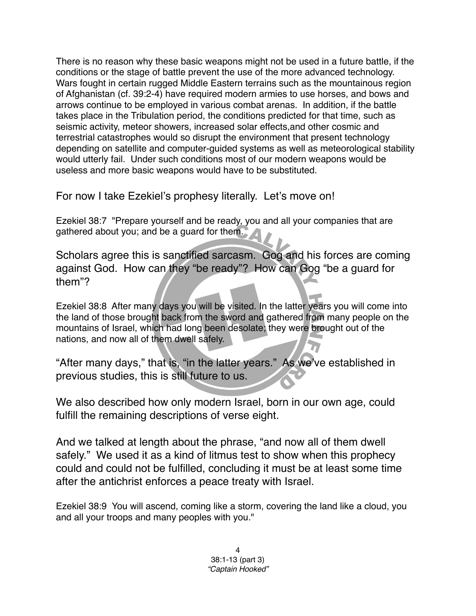There is no reason why these basic weapons might not be used in a future battle, if the conditions or the stage of battle prevent the use of the more advanced technology. Wars fought in certain rugged Middle Eastern terrains such as the mountainous region of Afghanistan (cf. 39:2-4) have required modern armies to use horses, and bows and arrows continue to be employed in various combat arenas. In addition, if the battle takes place in the Tribulation period, the conditions predicted for that time, such as seismic activity, meteor showers, increased solar effects,and other cosmic and terrestrial catastrophes would so disrupt the environment that present technology depending on satellite and computer-guided systems as well as meteorological stability would utterly fail. Under such conditions most of our modern weapons would be useless and more basic weapons would have to be substituted.

For now I take Ezekiel's prophesy literally. Let's move on!

Ezekiel 38:7 "Prepare yourself and be ready, you and all your companies that are gathered about you; and be a guard for them.

Scholars agree this is sanctified sarcasm. Gog and his forces are coming against God. How can they "be ready"? How can Gog "be a guard for them"?

Ezekiel 38:8 After many days you will be visited. In the latter years you will come into the land of those brought back from the sword and gathered from many people on the mountains of Israel, which had long been desolate; they were brought out of the nations, and now all of them dwell safely.

"After many days," that is, "in the latter years." As we've established in previous studies, this is still future to us.

We also described how only modern Israel, born in our own age, could fulfill the remaining descriptions of verse eight.

And we talked at length about the phrase, "and now all of them dwell safely." We used it as a kind of litmus test to show when this prophecy could and could not be fulfilled, concluding it must be at least some time after the antichrist enforces a peace treaty with Israel.

Ezekiel 38:9 You will ascend, coming like a storm, covering the land like a cloud, you and all your troops and many peoples with you."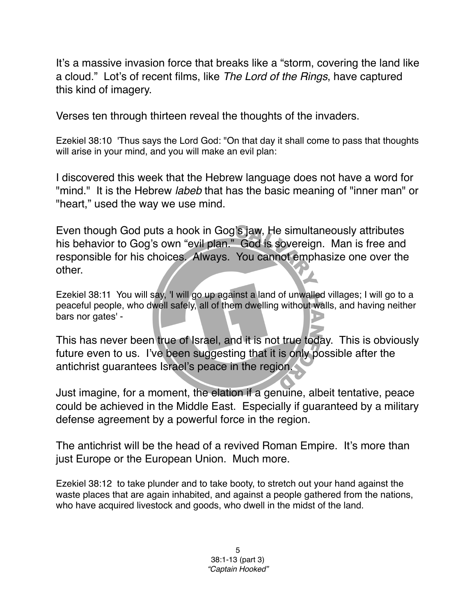It's a massive invasion force that breaks like a "storm, covering the land like a cloud." Lot's of recent films, like *The Lord of the Rings*, have captured this kind of imagery.

Verses ten through thirteen reveal the thoughts of the invaders.

Ezekiel 38:10 'Thus says the Lord God: "On that day it shall come to pass that thoughts will arise in your mind, and you will make an evil plan:

I discovered this week that the Hebrew language does not have a word for "mind." It is the Hebrew *labeb* that has the basic meaning of "inner man" or "heart," used the way we use mind.

Even though God puts a hook in Gog's jaw, He simultaneously attributes his behavior to Gog's own "evil plan." God is sovereign. Man is free and responsible for his choices. Always. You cannot emphasize one over the other.

Ezekiel 38:11 You will say, 'I will go up against a land of unwalled villages; I will go to a peaceful people, who dwell safely, all of them dwelling without walls, and having neither bars nor gates' -

This has never been true of Israel, and it is not true today. This is obviously future even to us. I've been suggesting that it is only possible after the antichrist guarantees Israel's peace in the region.

Just imagine, for a moment, the elation if a genuine, albeit tentative, peace could be achieved in the Middle East. Especially if guaranteed by a military defense agreement by a powerful force in the region.

The antichrist will be the head of a revived Roman Empire. It's more than just Europe or the European Union. Much more.

Ezekiel 38:12 to take plunder and to take booty, to stretch out your hand against the waste places that are again inhabited, and against a people gathered from the nations, who have acquired livestock and goods, who dwell in the midst of the land.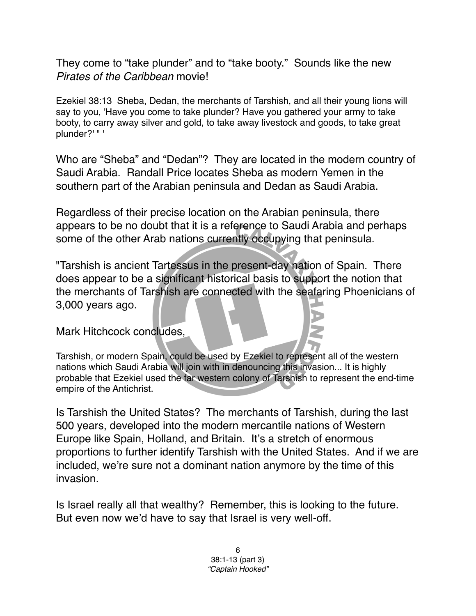They come to "take plunder" and to "take booty." Sounds like the new *Pirates of the Caribbean* movie!

Ezekiel 38:13 Sheba, Dedan, the merchants of Tarshish, and all their young lions will say to you, 'Have you come to take plunder? Have you gathered your army to take booty, to carry away silver and gold, to take away livestock and goods, to take great plunder?' " '

Who are "Sheba" and "Dedan"? They are located in the modern country of Saudi Arabia. Randall Price locates Sheba as modern Yemen in the southern part of the Arabian peninsula and Dedan as Saudi Arabia.

Regardless of their precise location on the Arabian peninsula, there appears to be no doubt that it is a reference to Saudi Arabia and perhaps some of the other Arab nations currently occupying that peninsula.

"Tarshish is ancient Tartessus in the present-day nation of Spain. There does appear to be a significant historical basis to support the notion that the merchants of Tarshish are connected with the seafaring Phoenicians of 3,000 years ago.

Mark Hitchcock concludes,

Tarshish, or modern Spain, could be used by Ezekiel to represent all of the western nations which Saudi Arabia will join with in denouncing this invasion... It is highly probable that Ezekiel used the far western colony of Tarshish to represent the end-time empire of the Antichrist.

Is Tarshish the United States? The merchants of Tarshish, during the last 500 years, developed into the modern mercantile nations of Western Europe like Spain, Holland, and Britain. It's a stretch of enormous proportions to further identify Tarshish with the United States. And if we are included, we're sure not a dominant nation anymore by the time of this invasion.

Is Israel really all that wealthy? Remember, this is looking to the future. But even now we'd have to say that Israel is very well-off.